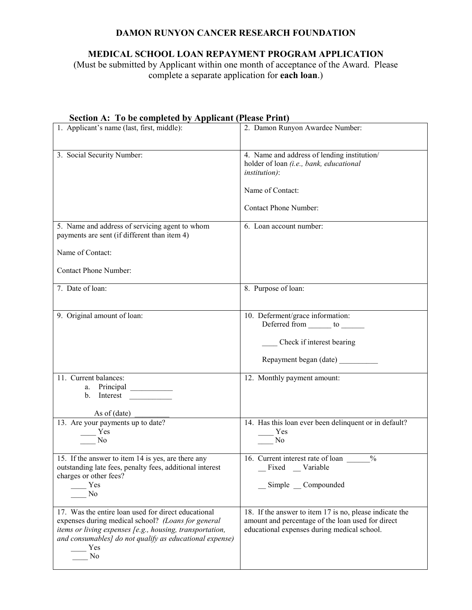## **DAMON RUNYON CANCER RESEARCH FOUNDATION**

# **MEDICAL SCHOOL LOAN REPAYMENT PROGRAM APPLICATION**

(Must be submitted by Applicant within one month of acceptance of the Award. Please complete a separate application for **each loan**.)

| 1. Applicant's name (last, first, middle):                                                                                                                                                                                                    | 2. Damon Runyon Awardee Number:                                                                                                                             |
|-----------------------------------------------------------------------------------------------------------------------------------------------------------------------------------------------------------------------------------------------|-------------------------------------------------------------------------------------------------------------------------------------------------------------|
| 3. Social Security Number:                                                                                                                                                                                                                    | 4. Name and address of lending institution/<br>holder of loan (i.e., bank, educational<br><i>institution</i> ):<br>Name of Contact:                         |
|                                                                                                                                                                                                                                               | <b>Contact Phone Number:</b>                                                                                                                                |
| 5. Name and address of servicing agent to whom<br>payments are sent (if different than item 4)                                                                                                                                                | 6. Loan account number:                                                                                                                                     |
| Name of Contact:                                                                                                                                                                                                                              |                                                                                                                                                             |
| <b>Contact Phone Number:</b>                                                                                                                                                                                                                  |                                                                                                                                                             |
| 7. Date of loan:                                                                                                                                                                                                                              | 8. Purpose of loan:                                                                                                                                         |
| 9. Original amount of loan:                                                                                                                                                                                                                   | 10. Deferment/grace information:<br>Deferred from _______ to _______<br>Check if interest bearing<br>Repayment began (date)                                 |
| 11. Current balances:<br>a. Principal<br>b. Interest                                                                                                                                                                                          | 12. Monthly payment amount:                                                                                                                                 |
| As of $(data)$<br>13. Are your payments up to date?<br>Yes<br>N <sub>o</sub>                                                                                                                                                                  | 14. Has this loan ever been delinquent or in default?<br>Yes<br>No                                                                                          |
| 15. If the answer to item 14 is yes, are there any<br>outstanding late fees, penalty fees, additional interest<br>charges or other fees?<br>Yes<br>No                                                                                         | 16. Current interest rate of loan<br>$\frac{0}{0}$<br>Fixed _Variable<br>Simple Compounded                                                                  |
| 17. Was the entire loan used for direct educational<br>expenses during medical school? (Loans for general<br>items or living expenses [e.g., housing, transportation,<br>and consumables] do not qualify as educational expense)<br>Yes<br>No | 18. If the answer to item 17 is no, please indicate the<br>amount and percentage of the loan used for direct<br>educational expenses during medical school. |

#### **Section A: To be completed by Applicant (Please Print)**